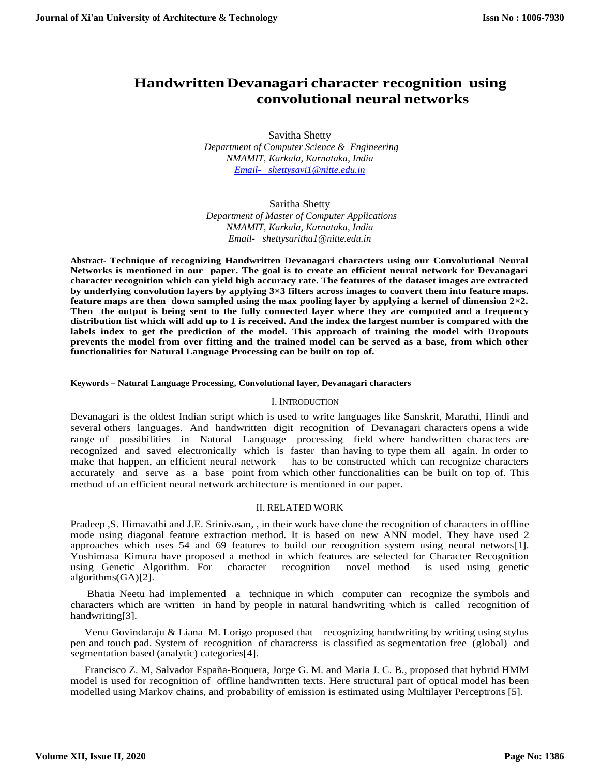# **HandwrittenDevanagari character recognition using convolutional neural networks**

Savitha Shetty  *Department of Computer Science & Engineering NMAMIT, Karkala, Karnataka, India [Email- shettysavi1@nitte.edu.in](mailto:Email-%20%20%20shettysavi1@nitte.edu.in)*

Saritha Shetty  *Department of Master of Computer Applications NMAMIT, Karkala, Karnataka, India Email- shettysaritha1@nitte.edu.in*

**Abstract- Technique of recognizing Handwritten Devanagari characters using our Convolutional Neural Networks is mentioned in our paper. The goal is to create an efficient neural network for Devanagari character recognition which can yield high accuracy rate. The features of the dataset images are extracted by underlying convolution layers by applying 3×3 filters across images to convert them into feature maps. feature maps are then down sampled using the max pooling layer by applying a kernel of dimension 2×2. Then the output is being sent to the fully connected layer where they are computed and a frequency distribution list which will add up to 1 is received. And the index the largest number is compared with the labels index to get the prediction of the model. This approach of training the model with Dropouts prevents the model from over fitting and the trained model can be served as a base, from which other functionalities for Natural Language Processing can be built on top of.**

#### **Keywords – Natural Language Processing, Convolutional layer, Devanagari characters**

#### I. INTRODUCTION

Devanagari is the oldest Indian script which is used to write languages like Sanskrit, Marathi, Hindi and several others languages. And handwritten digit recognition of Devanagari characters opens a wide range of possibilities in Natural Language processing field where handwritten characters are recognized and saved electronically which is faster than having to type them all again. In order to make that happen, an efficient neural network has to be constructed which can recognize characters accurately and serve as a base point from which other functionalities can be built on top of. This method of an efficient neural network architecture is mentioned in our paper.

# II. RELATED WORK

Pradeep ,S. Himavathi and J.E. Srinivasan, , in their work have done the recognition of characters in offline mode using diagonal feature extraction method. It is based on new ANN model. They have used 2 approaches which uses 54 and 69 features to build our recognition system using neural networs[1]. Yoshimasa Kimura have proposed a method in which features are selected for Character Recognition using Genetic Algorithm. For character recognition novel method is used using genetic algorithms(GA)[2].

Bhatia Neetu had implemented a technique in which computer can recognize the symbols and characters which are written in hand by people in natural handwriting which is called recognition of handwriting[3].

Venu Govindaraju & Liana M. Lorigo proposed that recognizing handwriting by writing using stylus pen and touch pad. System of recognition of characterss is classified as segmentation free (global) and segmentation based (analytic) categories[4].

Francisco Z. M, Salvador España-Boquera, Jorge G. M. and Maria J. C. B., proposed that hybrid HMM model is used for recognition of offline handwritten texts. Here structural part of optical model has been modelled using Markov chains, and probability of emission is estimated using Multilayer Perceptrons [5].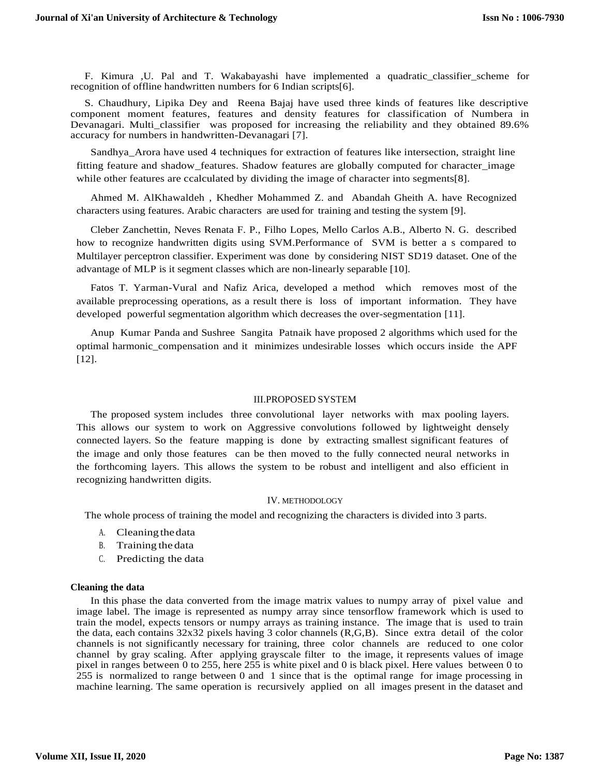F. Kimura ,U. Pal and T. Wakabayashi have implemented a quadratic\_classifier\_scheme for recognition of offline handwritten numbers for 6 Indian scripts[6].

S. Chaudhury, Lipika Dey and Reena Bajaj have used three kinds of features like descriptive component moment features, features and density features for classification of Numbera in Devanagari. Multi\_classifier was proposed for increasing the reliability and they obtained 89.6% accuracy for numbers in handwritten-Devanagari [7].

Sandhya\_Arora have used 4 techniques for extraction of features like intersection, straight line fitting feature and shadow\_features. Shadow features are globally computed for character\_image while other features are ccalculated by dividing the image of character into segments[8].

Ahmed M. AlKhawaldeh , Khedher Mohammed Z. and Abandah Gheith A. have Recognized characters using features. Arabic characters are used for training and testing the system [9].

Cleber Zanchettin, Neves Renata F. P., Filho Lopes, Mello Carlos A.B., Alberto N. G. described how to recognize handwritten digits using SVM.Performance of SVM is better a s compared to Multilayer perceptron classifier. Experiment was done by considering NIST SD19 dataset. One of the advantage of MLP is it segment classes which are non-linearly separable [10].

Fatos T. Yarman-Vural and Nafiz Arica, developed a method which removes most of the available preprocessing operations, as a result there is loss of important information. They have developed powerful segmentation algorithm which decreases the over-segmentation [11].

Anup Kumar Panda and Sushree Sangita Patnaik have proposed 2 algorithms which used for the optimal harmonic\_compensation and it minimizes undesirable losses which occurs inside the APF [12].

#### III.PROPOSED SYSTEM

The proposed system includes three convolutional layer networks with max pooling layers. This allows our system to work on Aggressive convolutions followed by lightweight densely connected layers. So the feature mapping is done by extracting smallest significant features of the image and only those features can be then moved to the fully connected neural networks in the forthcoming layers. This allows the system to be robust and intelligent and also efficient in recognizing handwritten digits.

### IV. METHODOLOGY

The whole process of training the model and recognizing the characters is divided into 3 parts.

- A. Cleaning thedata
- B. Training the data
- C. Predicting the data

### **Cleaning the data**

In this phase the data converted from the image matrix values to numpy array of pixel value and image label. The image is represented as numpy array since tensorflow framework which is used to train the model, expects tensors or numpy arrays as training instance. The image that is used to train the data, each contains 32x32 pixels having 3 color channels (R,G,B). Since extra detail of the color channels is not significantly necessary for training, three color channels are reduced to one color channel by gray scaling. After applying grayscale filter to the image, it represents values of image pixel in ranges between 0 to 255, here 255 is white pixel and 0 is black pixel. Here values between 0 to 255 is normalized to range between 0 and 1 since that is the optimal range for image processing in machine learning. The same operation is recursively applied on all images present in the dataset and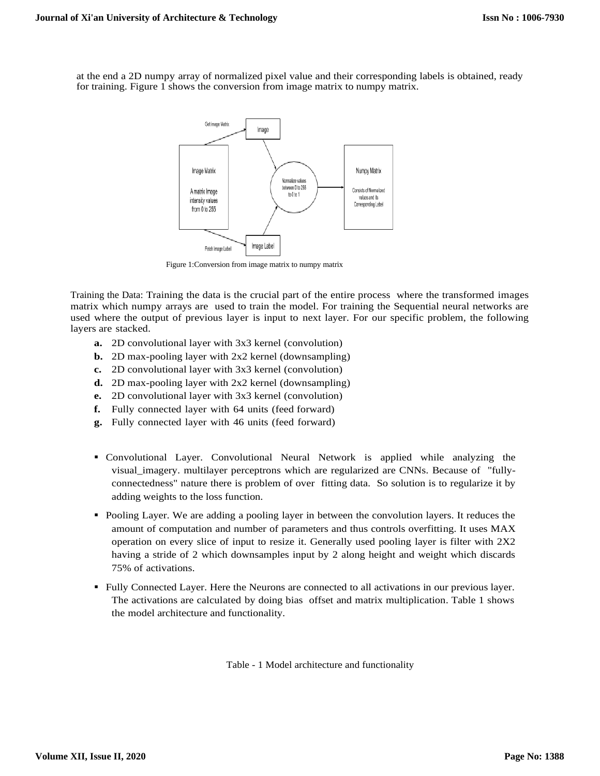at the end a 2D numpy array of normalized pixel value and their corresponding labels is obtained, ready for training. Figure 1 shows the conversion from image matrix to numpy matrix.



Figure 1:Conversion from image matrix to numpy matrix

Training the Data: Training the data is the crucial part of the entire process where the transformed images matrix which numpy arrays are used to train the model. For training the Sequential neural networks are used where the output of previous layer is input to next layer. For our specific problem, the following layers are stacked.

- **a.** 2D convolutional layer with 3x3 kernel (convolution)
- **b.** 2D max-pooling layer with 2x2 kernel (downsampling)
- **c.** 2D convolutional layer with 3x3 kernel (convolution)
- **d.** 2D max-pooling layer with 2x2 kernel (downsampling)
- **e.** 2D convolutional layer with 3x3 kernel (convolution)
- **f.** Fully connected layer with 64 units (feed forward)
- **g.** Fully connected layer with 46 units (feed forward)
- Convolutional Layer. Convolutional Neural Network is applied while analyzing the visual\_imagery. multilayer perceptrons which are regularized are CNNs. Because of "fullyconnectedness" nature there is problem of over fitting data. So solution is to regularize it by adding weights to the loss function.
- Pooling Layer. We are adding a pooling layer in between the convolution layers. It reduces the amount of computation and number of parameters and thus controls overfitting. It uses MAX operation on every slice of input to resize it. Generally used pooling layer is filter with 2X2 having a stride of 2 which downsamples input by 2 along height and weight which discards 75% of activations.
- Fully Connected Layer. Here the Neurons are connected to all activations in our previous layer. The activations are calculated by doing bias offset and matrix multiplication. Table 1 shows the model architecture and functionality.

Table - 1 Model architecture and functionality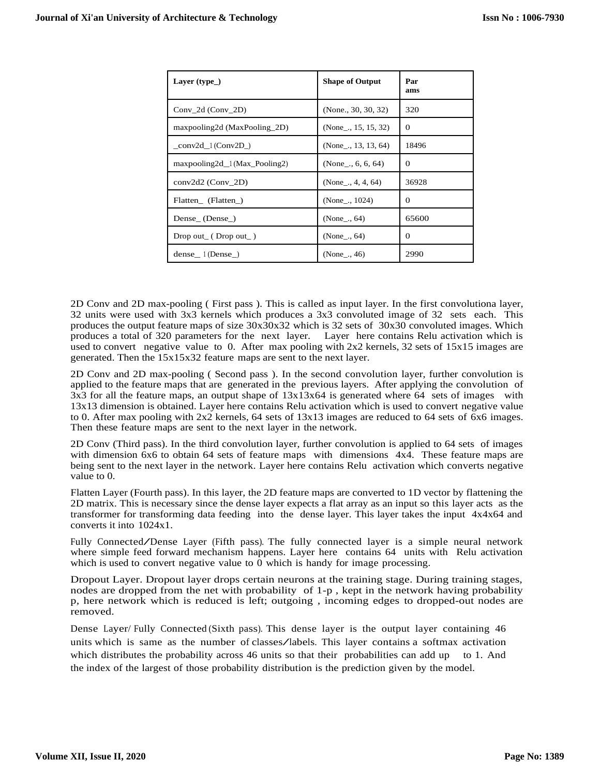| Layer $(type_$                 | <b>Shape of Output</b>     | Par<br>ams |
|--------------------------------|----------------------------|------------|
| Conv $2d$ (Conv $2D$ )         | (None., 30, 30, 32)        | 320        |
| maxpooling2d (MaxPooling_2D)   | (None $\ldots$ 15, 15, 32) | $\Omega$   |
| $_{conv2d\_1(Conv2D_{})}$      | (None $\ldots$ 13, 13, 64) | 18496      |
| $maxpooling2d_1(Max_Pooling2)$ | (None $ 6, 6, 64$ )        | $\Omega$   |
| $conv2d2$ (Conv 2D)            | (None $\ldots$ 4, 4, 64)   | 36928      |
| Flatten (Flatten)              | (None ., $1024$ )          | $\Omega$   |
| Dense <sub>(Dense)</sub>       | $(None \dots 64)$          | 65600      |
| $Drop out_{-} (Drop out_{})$   | (None <sub>,</sub> , 64)   | $\Omega$   |
| dense $1(Dense)$               | (None <sub>,.,</sub> 46)   | 2990       |

2D Conv and 2D max-pooling ( First pass ). This is called as input layer. In the first convolutiona layer, 32 units were used with 3x3 kernels which produces a 3x3 convoluted image of 32 sets each. This produces the output feature maps of size 30x30x32 which is 32 sets of 30x30 convoluted images. Which produces a total of 320 parameters for the next layer. Layer here contains Relu activation which is used to convert negative value to 0. After max pooling with 2x2 kernels, 32 sets of 15x15 images are generated. Then the 15x15x32 feature maps are sent to the next layer.

2D Conv and 2D max-pooling ( Second pass ). In the second convolution layer, further convolution is applied to the feature maps that are generated in the previous layers. After applying the convolution of 3x3 for all the feature maps, an output shape of 13x13x64 is generated where 64 sets of images with 13x13 dimension is obtained. Layer here contains Relu activation which is used to convert negative value to 0. After max pooling with 2x2 kernels, 64 sets of 13x13 images are reduced to 64 sets of 6x6 images. Then these feature maps are sent to the next layer in the network.

2D Conv (Third pass). In the third convolution layer, further convolution is applied to 64 sets of images with dimension 6x6 to obtain 64 sets of feature maps with dimensions  $4x\overline{4}$ . These feature maps are being sent to the next layer in the network. Layer here contains Relu activation which converts negative value to 0.

Flatten Layer (Fourth pass). In this layer, the 2D feature maps are converted to 1D vector by flattening the 2D matrix. This is necessary since the dense layer expects a flat array as an input so this layer acts as the transformer for transforming data feeding into the dense layer. This layer takes the input 4x4x64 and converts it into 1024x1.

Fully Connected/Dense Layer (Fifth pass). The fully connected layer is <sup>a</sup> simple neural network where simple feed forward mechanism happens. Layer here contains 64 units with Relu activation which is used to convert negative value to  $\overline{0}$  which is handy for image processing.

Dropout Layer. Dropout layer drops certain neurons at the training stage. During training stages, nodes are dropped from the net with probability of 1-p , kept in the network having probability p, here network which is reduced is left; outgoing , incoming edges to dropped-out nodes are removed.

Dense Layer/ Fully Connected (Sixth pass). This dense layer is the output layer containing 46 units which is same as the number of classes/labels. This layer contains <sup>a</sup> softmax activation which distributes the probability across 46 units so that their probabilities can add up to 1. And the index of the largest of those probability distribution is the prediction given by the model.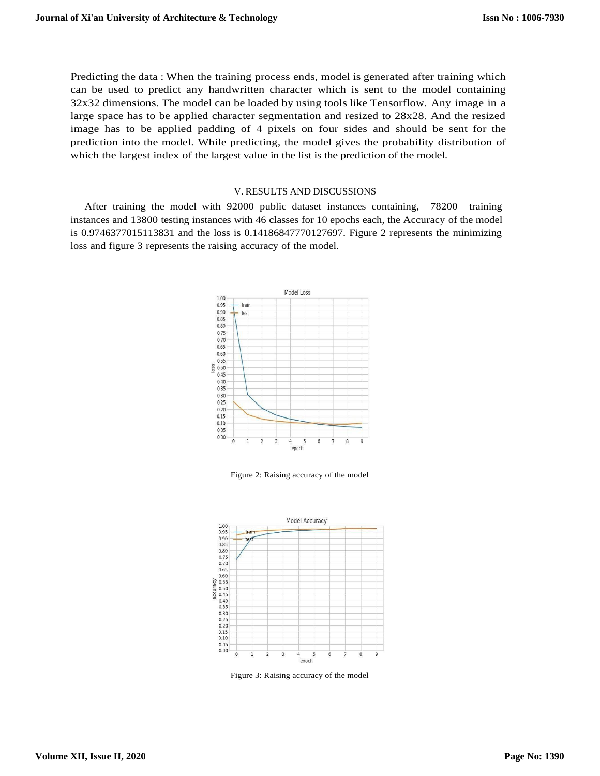Predicting the data : When the training process ends, model is generated after training which can be used to predict any handwritten character which is sent to the model containing 32x32 dimensions. The model can be loaded by using tools like Tensorflow. Any image in a large space has to be applied character segmentation and resized to 28x28. And the resized image has to be applied padding of 4 pixels on four sides and should be sent for the prediction into the model. While predicting, the model gives the probability distribution of which the largest index of the largest value in the list is the prediction of the model.

#### V. RESULTS AND DISCUSSIONS

After training the model with 92000 public dataset instances containing, 78200 training instances and 13800 testing instances with 46 classes for 10 epochs each, the Accuracy of the model is 0.9746377015113831 and the loss is 0.14186847770127697. Figure 2 represents the minimizing loss and figure 3 represents the raising accuracy of the model.



Figure 2: Raising accuracy of the model



Figure 3: Raising accuracy of the model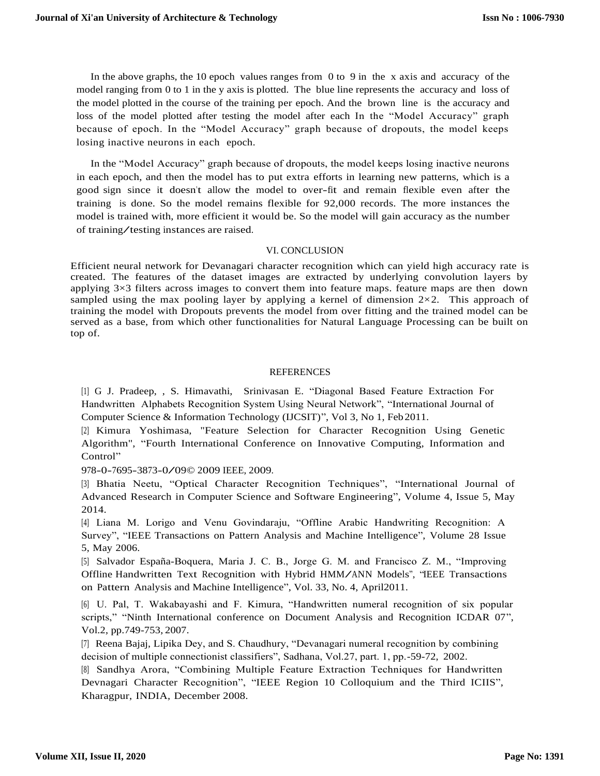In the above graphs, the 10 epoch values ranges from 0 to 9 in the x axis and accuracy of the model ranging from 0 to 1 in the y axis is plotted. The blue line represents the accuracy and loss of the model plotted in the course of the training per epoch. And the brown line is the accuracy and loss of the model plotted after testing the model after each In the "Model Accuracy" graph because of epoch. In the "Model Accuracy" graph because of dropouts, the model keeps losing inactive neurons in each epoch.

In the "Model Accuracy" graph because of dropouts, the model keeps losing inactive neurons in each epoch, and then the model has to put extra efforts in learning new patterns, which is a good sign since it doesn't allow the model to over-fit and remain flexible even after the training is done. So the model remains flexible for 92,000 records. The more instances the model is trained with, more efficient it would be. So the model will gain accuracy as the number of training/testing instances are raised.

# VI. CONCLUSION

Efficient neural network for Devanagari character recognition which can yield high accuracy rate is created. The features of the dataset images are extracted by underlying convolution layers by applying 3×3 filters across images to convert them into feature maps. feature maps are then down sampled using the max pooling layer by applying a kernel of dimension  $2\times 2$ . This approach of training the model with Dropouts prevents the model from over fitting and the trained model can be served as a base, from which other functionalities for Natural Language Processing can be built on top of.

# REFERENCES

[1] G J. Pradeep, , S. Himavathi, Srinivasan E. "Diagonal Based Feature Extraction For Handwritten Alphabets Recognition System Using Neural Network", "International Journal of Computer Science & Information Technology (IJCSIT)", Vol 3, No 1, Feb2011.

[2] Kimura Yoshimasa, "Feature Selection for Character Recognition Using Genetic Algorithm", "Fourth International Conference on Innovative Computing, Information and Control"

978-0-7695-3873-0/09© <sup>2009</sup> IEEE, 2009.

[3] Bhatia Neetu, "Optical Character Recognition Techniques", "International Journal of Advanced Research in Computer Science and Software Engineering", Volume 4, Issue 5, May 2014.

[4] Liana M. Lorigo and Venu Govindaraju, "Offline Arabic Handwriting Recognition: A Survey", "IEEE Transactions on Pattern Analysis and Machine Intelligence", Volume 28 Issue 5, May 2006.

[5] Salvador España-Boquera, Maria J. C. B., Jorge G. M. and Francisco Z. M., "Improving Offline Handwritten Text Recognition with Hybrid HMM/ANN Models", "IEEE Transactions on Pattern Analysis and Machine Intelligence", Vol. 33, No. 4, April2011.

[6] U. Pal, T. Wakabayashi and F. Kimura, "Handwritten numeral recognition of six popular scripts," "Ninth International conference on Document Analysis and Recognition ICDAR 07", Vol.2, pp.749-753, 2007.

[7] Reena Bajaj, Lipika Dey, and S. Chaudhury, "Devanagari numeral recognition by combining decision of multiple connectionist classifiers", Sadhana, Vol.27, part. 1, pp.-59-72, 2002.

[8] Sandhya Arora, "Combining Multiple Feature Extraction Techniques for Handwritten Devnagari Character Recognition", "IEEE Region 10 Colloquium and the Third ICIIS", Kharagpur, INDIA, December 2008.